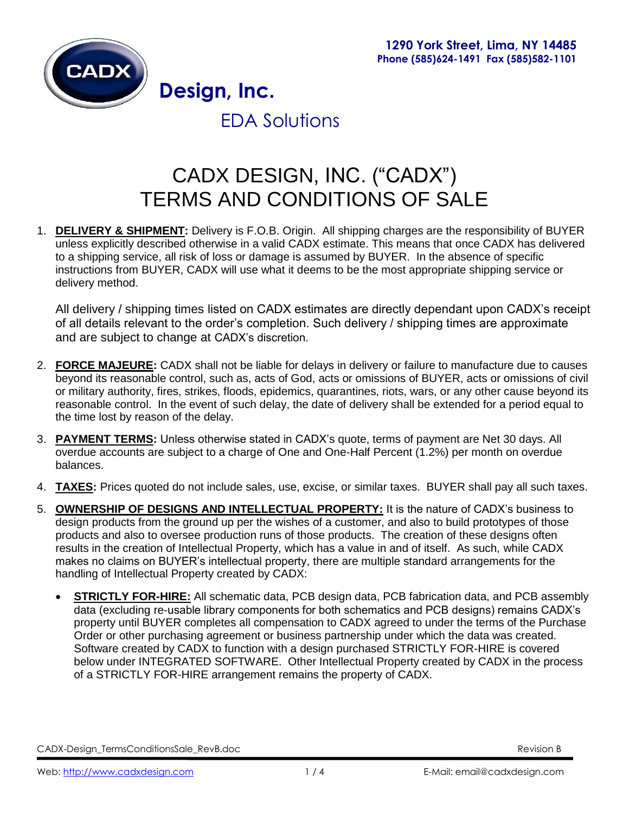

EDA Solutions

# CADX DESIGN, INC. ("CADX") TERMS AND CONDITIONS OF SALE

1. **DELIVERY & SHIPMENT:** Delivery is F.O.B. Origin. All shipping charges are the responsibility of BUYER unless explicitly described otherwise in a valid CADX estimate. This means that once CADX has delivered to a shipping service, all risk of loss or damage is assumed by BUYER. In the absence of specific instructions from BUYER, CADX will use what it deems to be the most appropriate shipping service or delivery method.

All delivery / shipping times listed on CADX estimates are directly dependant upon CADX's receipt of all details relevant to the order's completion. Such delivery / shipping times are approximate and are subject to change at CADX's discretion.

- 2. **FORCE MAJEURE:** CADX shall not be liable for delays in delivery or failure to manufacture due to causes beyond its reasonable control, such as, acts of God, acts or omissions of BUYER, acts or omissions of civil or military authority, fires, strikes, floods, epidemics, quarantines, riots, wars, or any other cause beyond its reasonable control. In the event of such delay, the date of delivery shall be extended for a period equal to the time lost by reason of the delay.
- 3. **PAYMENT TERMS:** Unless otherwise stated in CADX's quote, terms of payment are Net 30 days. All overdue accounts are subject to a charge of One and One-Half Percent (1.2%) per month on overdue balances.
- 4. **TAXES:** Prices quoted do not include sales, use, excise, or similar taxes. BUYER shall pay all such taxes.
- 5. **OWNERSHIP OF DESIGNS AND INTELLECTUAL PROPERTY:** It is the nature of CADX's business to design products from the ground up per the wishes of a customer, and also to build prototypes of those products and also to oversee production runs of those products. The creation of these designs often results in the creation of Intellectual Property, which has a value in and of itself. As such, while CADX makes no claims on BUYER's intellectual property, there are multiple standard arrangements for the handling of Intellectual Property created by CADX:
	- **STRICTLY FOR-HIRE:** All schematic data, PCB design data, PCB fabrication data, and PCB assembly data (excluding re-usable library components for both schematics and PCB designs) remains CADX's property until BUYER completes all compensation to CADX agreed to under the terms of the Purchase Order or other purchasing agreement or business partnership under which the data was created. Software created by CADX to function with a design purchased STRICTLY FOR-HIRE is covered below under INTEGRATED SOFTWARE. Other Intellectual Property created by CADX in the process of a STRICTLY FOR-HIRE arrangement remains the property of CADX.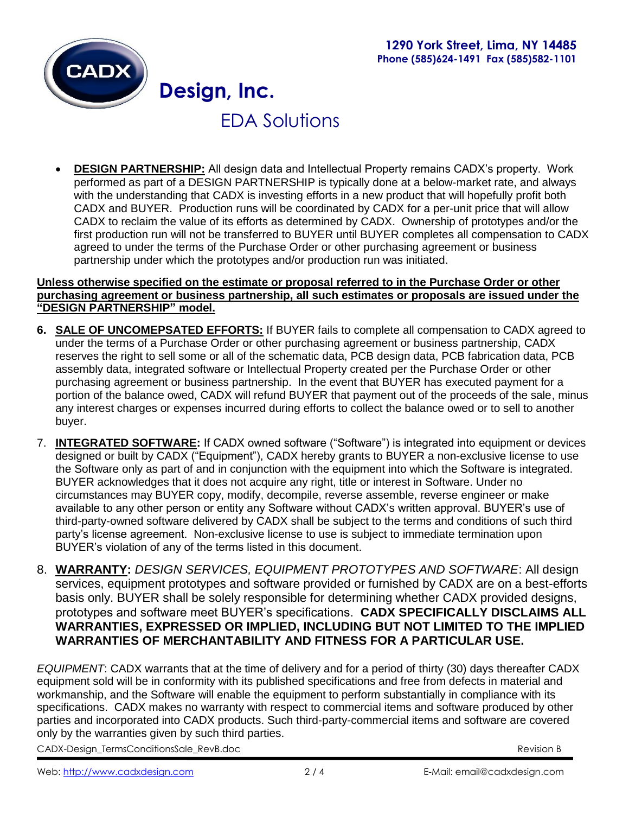

## EDA Solutions

 **DESIGN PARTNERSHIP:** All design data and Intellectual Property remains CADX's property. Work performed as part of a DESIGN PARTNERSHIP is typically done at a below-market rate, and always with the understanding that CADX is investing efforts in a new product that will hopefully profit both CADX and BUYER. Production runs will be coordinated by CADX for a per-unit price that will allow CADX to reclaim the value of its efforts as determined by CADX. Ownership of prototypes and/or the first production run will not be transferred to BUYER until BUYER completes all compensation to CADX agreed to under the terms of the Purchase Order or other purchasing agreement or business partnership under which the prototypes and/or production run was initiated.

#### **Unless otherwise specified on the estimate or proposal referred to in the Purchase Order or other purchasing agreement or business partnership, all such estimates or proposals are issued under the "DESIGN PARTNERSHIP" model.**

- **6. SALE OF UNCOMEPSATED EFFORTS:** If BUYER fails to complete all compensation to CADX agreed to under the terms of a Purchase Order or other purchasing agreement or business partnership, CADX reserves the right to sell some or all of the schematic data, PCB design data, PCB fabrication data, PCB assembly data, integrated software or Intellectual Property created per the Purchase Order or other purchasing agreement or business partnership. In the event that BUYER has executed payment for a portion of the balance owed, CADX will refund BUYER that payment out of the proceeds of the sale, minus any interest charges or expenses incurred during efforts to collect the balance owed or to sell to another buyer.
- 7. **INTEGRATED SOFTWARE:** If CADX owned software ("Software") is integrated into equipment or devices designed or built by CADX ("Equipment"), CADX hereby grants to BUYER a non-exclusive license to use the Software only as part of and in conjunction with the equipment into which the Software is integrated. BUYER acknowledges that it does not acquire any right, title or interest in Software. Under no circumstances may BUYER copy, modify, decompile, reverse assemble, reverse engineer or make available to any other person or entity any Software without CADX's written approval. BUYER's use of third-party-owned software delivered by CADX shall be subject to the terms and conditions of such third party's license agreement. Non-exclusive license to use is subject to immediate termination upon BUYER's violation of any of the terms listed in this document.
- 8. **WARRANTY:** *DESIGN SERVICES, EQUIPMENT PROTOTYPES AND SOFTWARE*: All design services, equipment prototypes and software provided or furnished by CADX are on a best-efforts basis only. BUYER shall be solely responsible for determining whether CADX provided designs, prototypes and software meet BUYER's specifications. **CADX SPECIFICALLY DISCLAIMS ALL WARRANTIES, EXPRESSED OR IMPLIED, INCLUDING BUT NOT LIMITED TO THE IMPLIED WARRANTIES OF MERCHANTABILITY AND FITNESS FOR A PARTICULAR USE.**

*EQUIPMENT*: CADX warrants that at the time of delivery and for a period of thirty (30) days thereafter CADX equipment sold will be in conformity with its published specifications and free from defects in material and workmanship, and the Software will enable the equipment to perform substantially in compliance with its specifications. CADX makes no warranty with respect to commercial items and software produced by other parties and incorporated into CADX products. Such third-party-commercial items and software are covered only by the warranties given by such third parties.

CADX-Design\_TermsConditionsSale\_RevB.doc Revision B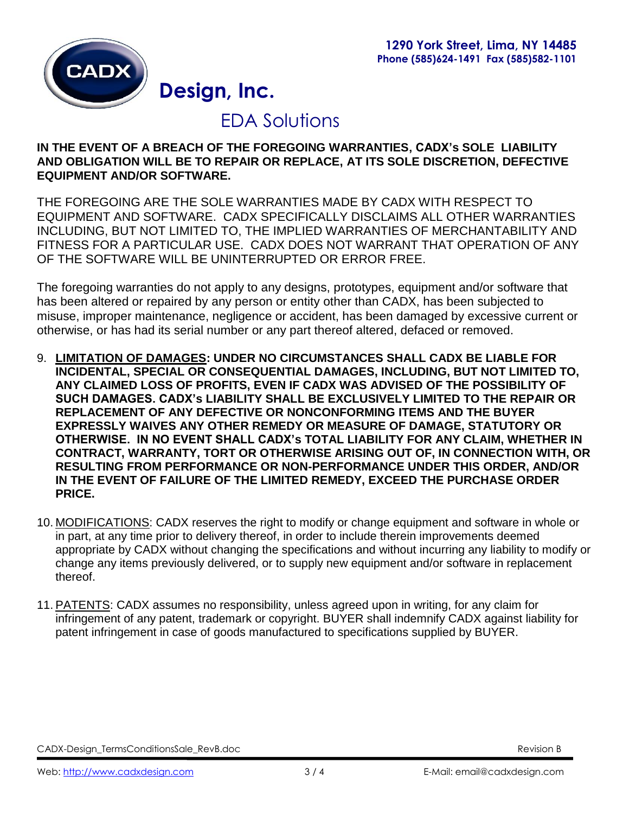

### EDA Solutions

### **IN THE EVENT OF A BREACH OF THE FOREGOING WARRANTIES, CADX's SOLE LIABILITY AND OBLIGATION WILL BE TO REPAIR OR REPLACE, AT ITS SOLE DISCRETION, DEFECTIVE EQUIPMENT AND/OR SOFTWARE.**

THE FOREGOING ARE THE SOLE WARRANTIES MADE BY CADX WITH RESPECT TO EQUIPMENT AND SOFTWARE. CADX SPECIFICALLY DISCLAIMS ALL OTHER WARRANTIES INCLUDING, BUT NOT LIMITED TO, THE IMPLIED WARRANTIES OF MERCHANTABILITY AND FITNESS FOR A PARTICULAR USE. CADX DOES NOT WARRANT THAT OPERATION OF ANY OF THE SOFTWARE WILL BE UNINTERRUPTED OR ERROR FREE.

The foregoing warranties do not apply to any designs, prototypes, equipment and/or software that has been altered or repaired by any person or entity other than CADX, has been subjected to misuse, improper maintenance, negligence or accident, has been damaged by excessive current or otherwise, or has had its serial number or any part thereof altered, defaced or removed.

- 9. **LIMITATION OF DAMAGES: UNDER NO CIRCUMSTANCES SHALL CADX BE LIABLE FOR INCIDENTAL, SPECIAL OR CONSEQUENTIAL DAMAGES, INCLUDING, BUT NOT LIMITED TO, ANY CLAIMED LOSS OF PROFITS, EVEN IF CADX WAS ADVISED OF THE POSSIBILITY OF SUCH DAMAGES. CADX's LIABILITY SHALL BE EXCLUSIVELY LIMITED TO THE REPAIR OR REPLACEMENT OF ANY DEFECTIVE OR NONCONFORMING ITEMS AND THE BUYER EXPRESSLY WAIVES ANY OTHER REMEDY OR MEASURE OF DAMAGE, STATUTORY OR OTHERWISE. IN NO EVENT SHALL CADX's TOTAL LIABILITY FOR ANY CLAIM, WHETHER IN CONTRACT, WARRANTY, TORT OR OTHERWISE ARISING OUT OF, IN CONNECTION WITH, OR RESULTING FROM PERFORMANCE OR NON-PERFORMANCE UNDER THIS ORDER, AND/OR IN THE EVENT OF FAILURE OF THE LIMITED REMEDY, EXCEED THE PURCHASE ORDER PRICE.**
- 10. MODIFICATIONS: CADX reserves the right to modify or change equipment and software in whole or in part, at any time prior to delivery thereof, in order to include therein improvements deemed appropriate by CADX without changing the specifications and without incurring any liability to modify or change any items previously delivered, or to supply new equipment and/or software in replacement thereof.
- 11. PATENTS: CADX assumes no responsibility, unless agreed upon in writing, for any claim for infringement of any patent, trademark or copyright. BUYER shall indemnify CADX against liability for patent infringement in case of goods manufactured to specifications supplied by BUYER.